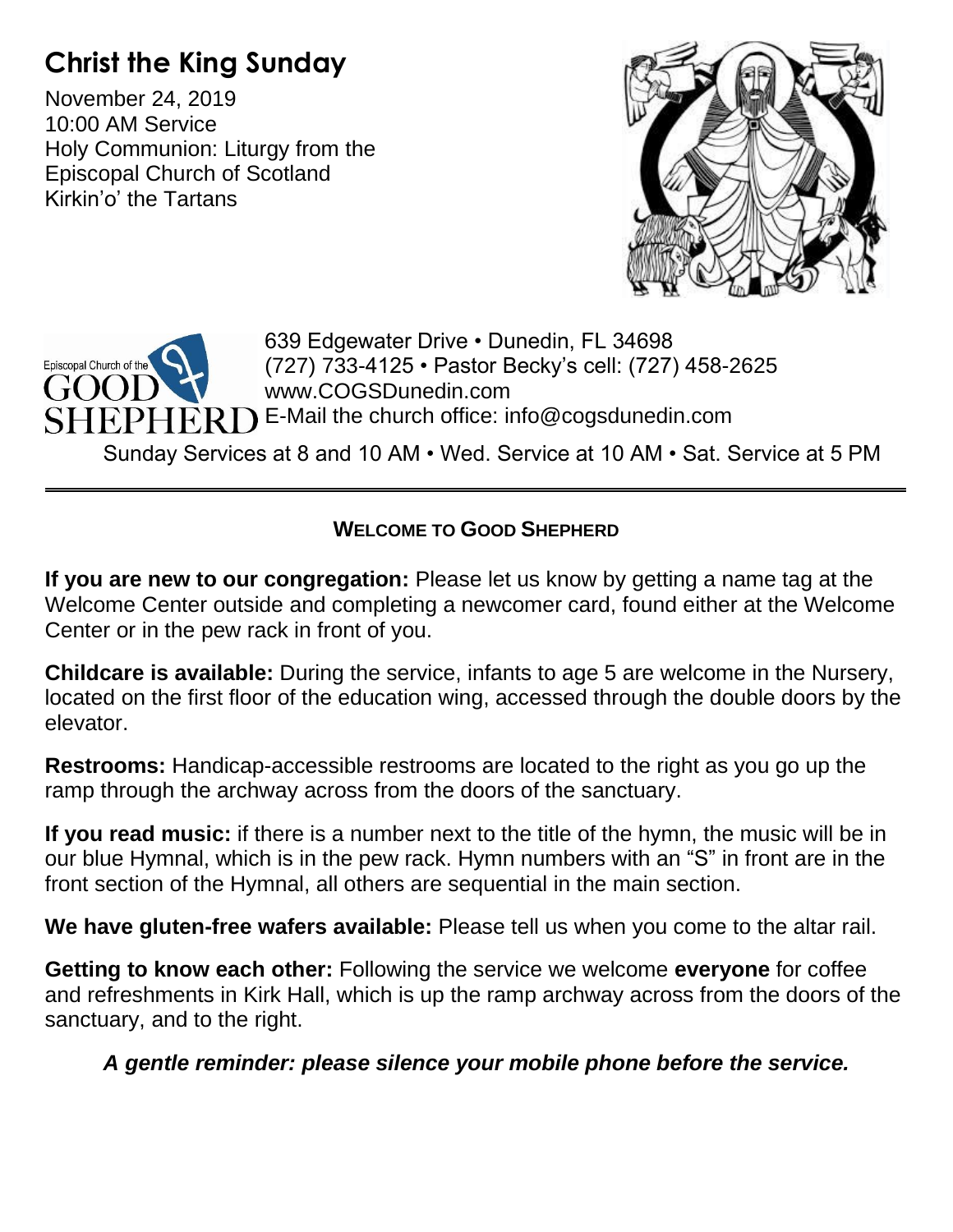# **Christ the King Sunday**

November 24, 2019 10:00 AM Service Holy Communion: Liturgy from the Episcopal Church of Scotland Kirkin'o' the Tartans





**WELCOME TO GOOD SHEPHERD**

**If you are new to our congregation:** Please let us know by getting a name tag at the Welcome Center outside and completing a newcomer card, found either at the Welcome Center or in the pew rack in front of you.

**Childcare is available:** During the service, infants to age 5 are welcome in the Nursery, located on the first floor of the education wing, accessed through the double doors by the elevator.

**Restrooms:** Handicap-accessible restrooms are located to the right as you go up the ramp through the archway across from the doors of the sanctuary.

**If you read music:** if there is a number next to the title of the hymn, the music will be in our blue Hymnal, which is in the pew rack. Hymn numbers with an "S" in front are in the front section of the Hymnal, all others are sequential in the main section.

**We have gluten-free wafers available:** Please tell us when you come to the altar rail.

**Getting to know each other:** Following the service we welcome **everyone** for coffee and refreshments in Kirk Hall, which is up the ramp archway across from the doors of the sanctuary, and to the right.

*A gentle reminder: please silence your mobile phone before the service.*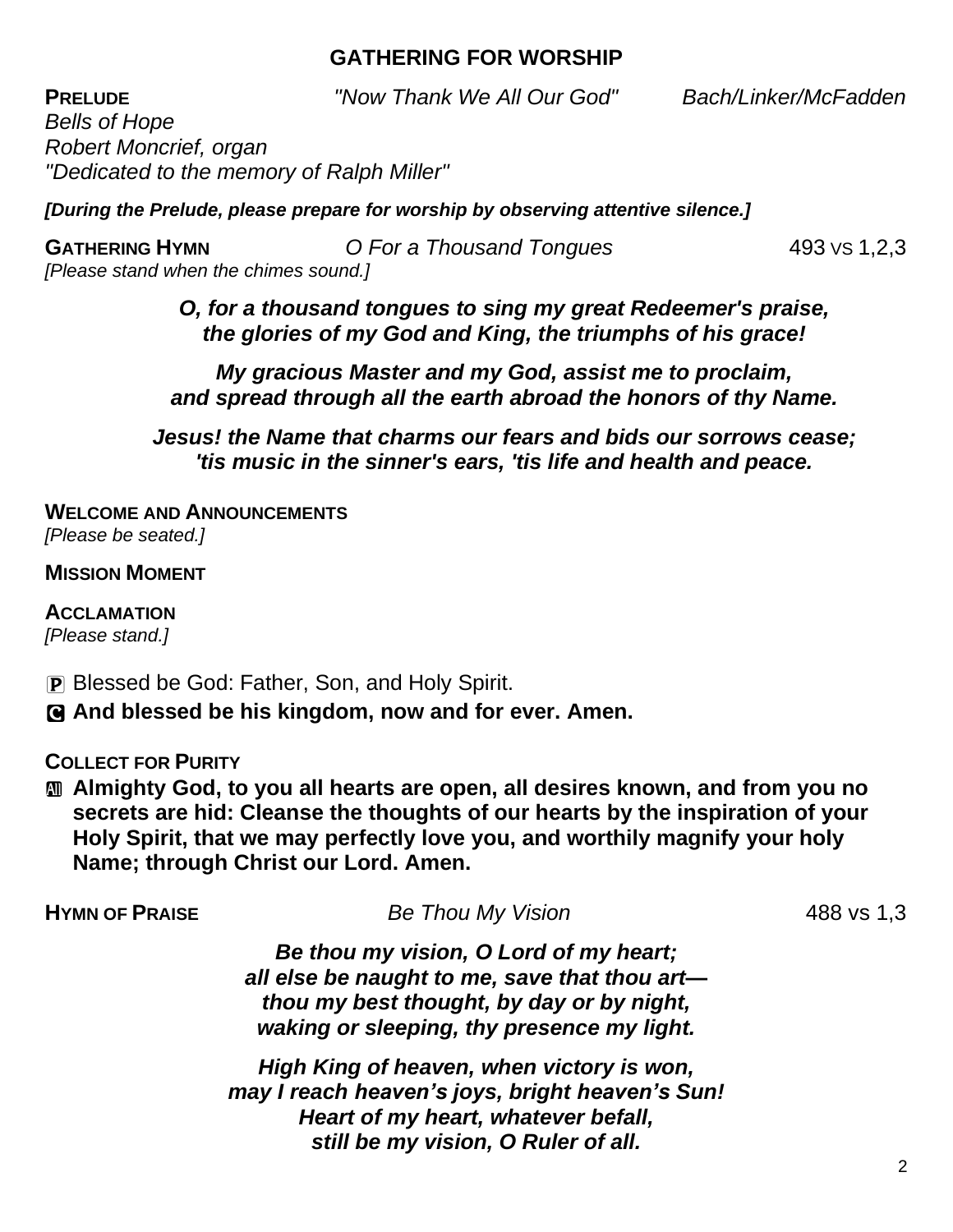## **GATHERING FOR WORSHIP**

**PRELUDE** *"Now Thank We All Our God" Bach/Linker/McFadden*

*Bells of Hope Robert Moncrief, organ "Dedicated to the memory of Ralph Miller"*

*[During the Prelude, please prepare for worship by observing attentive silence.]*

**GATHERING HYMN** *O For a Thousand Tongues* 493 VS 1,2,3 *[Please stand when the chimes sound.]*

*O, for a thousand tongues to sing my great Redeemer's praise, the glories of my God and King, the triumphs of his grace!*

*My gracious Master and my God, assist me to proclaim, and spread through all the earth abroad the honors of thy Name.*

*Jesus! the Name that charms our fears and bids our sorrows cease; 'tis music in the sinner's ears, 'tis life and health and peace.*

**WELCOME AND ANNOUNCEMENTS** *[Please be seated.]*

**MISSION MOMENT**

**ACCLAMATION** *[Please stand.]*

P Blessed be God: Father, Son, and Holy Spirit. C **And blessed be his kingdom, now and for ever. Amen.**

**COLLECT FOR PURITY**

a **Almighty God, to you all hearts are open, all desires known, and from you no secrets are hid: Cleanse the thoughts of our hearts by the inspiration of your Holy Spirit, that we may perfectly love you, and worthily magnify your holy Name; through Christ our Lord. Amen.**

| <b>HYMN OF PRAISE</b> | <b>Be Thou My Vision</b>                                                                                                                                                           | 488 vs 1,3 |
|-----------------------|------------------------------------------------------------------------------------------------------------------------------------------------------------------------------------|------------|
|                       | Be thou my vision, O Lord of my heart;<br>all else be naught to me, save that thou art-<br>thou my best thought, by day or by night,<br>waking or sleeping, thy presence my light. |            |
|                       | High King of heaven, when victory is won,<br>may I reach heaven's joys, bright heaven's Sun!<br>Heart of my heart, whatever befall,<br>still be my vision, O Ruler of all.         |            |
|                       |                                                                                                                                                                                    |            |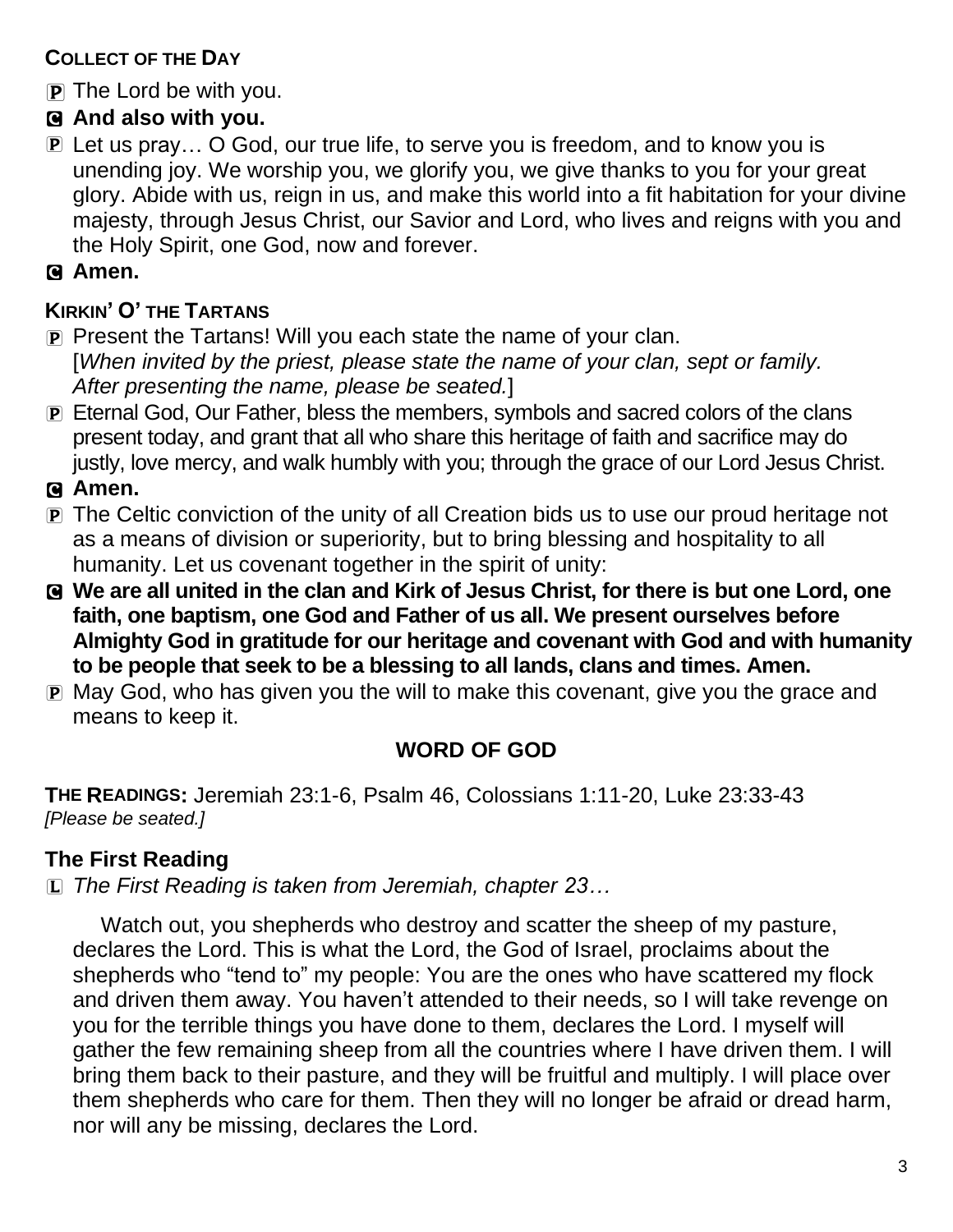## **COLLECT OF THE DAY**

P The Lord be with you.

## C **And also with you.**

P Let us pray… O God, our true life, to serve you is freedom, and to know you is unending joy. We worship you, we glorify you, we give thanks to you for your great glory. Abide with us, reign in us, and make this world into a fit habitation for your divine majesty, through Jesus Christ, our Savior and Lord, who lives and reigns with you and the Holy Spirit, one God, now and forever.

### C **Amen.**

## **KIRKIN' O' THE TARTANS**

- P Present the Tartans! Will you each state the name of your clan. [*When invited by the priest, please state the name of your clan, sept or family. After presenting the name, please be seated.*]
- P Eternal God, Our Father, bless the members, symbols and sacred colors of the clans present today, and grant that all who share this heritage of faith and sacrifice may do justly, love mercy, and walk humbly with you; through the grace of our Lord Jesus Christ.

C **Amen.**

- P The Celtic conviction of the unity of all Creation bids us to use our proud heritage not as a means of division or superiority, but to bring blessing and hospitality to all humanity. Let us covenant together in the spirit of unity:
- C **We are all united in the clan and Kirk of Jesus Christ, for there is but one Lord, one faith, one baptism, one God and Father of us all. We present ourselves before Almighty God in gratitude for our heritage and covenant with God and with humanity to be people that seek to be a blessing to all lands, clans and times. Amen.**
- P May God, who has given you the will to make this covenant, give you the grace and means to keep it.

## **WORD OF GOD**

**THE READINGS:** Jeremiah 23:1-6, Psalm 46, Colossians 1:11-20, Luke 23:33-43 *[Please be seated.]*

## **The First Reading**

L *The First Reading is taken from Jeremiah, chapter 23…*

Watch out, you shepherds who destroy and scatter the sheep of my pasture, declares the Lord. This is what the Lord, the God of Israel, proclaims about the shepherds who "tend to" my people: You are the ones who have scattered my flock and driven them away. You haven't attended to their needs, so I will take revenge on you for the terrible things you have done to them, declares the Lord. I myself will gather the few remaining sheep from all the countries where I have driven them. I will bring them back to their pasture, and they will be fruitful and multiply. I will place over them shepherds who care for them. Then they will no longer be afraid or dread harm, nor will any be missing, declares the Lord.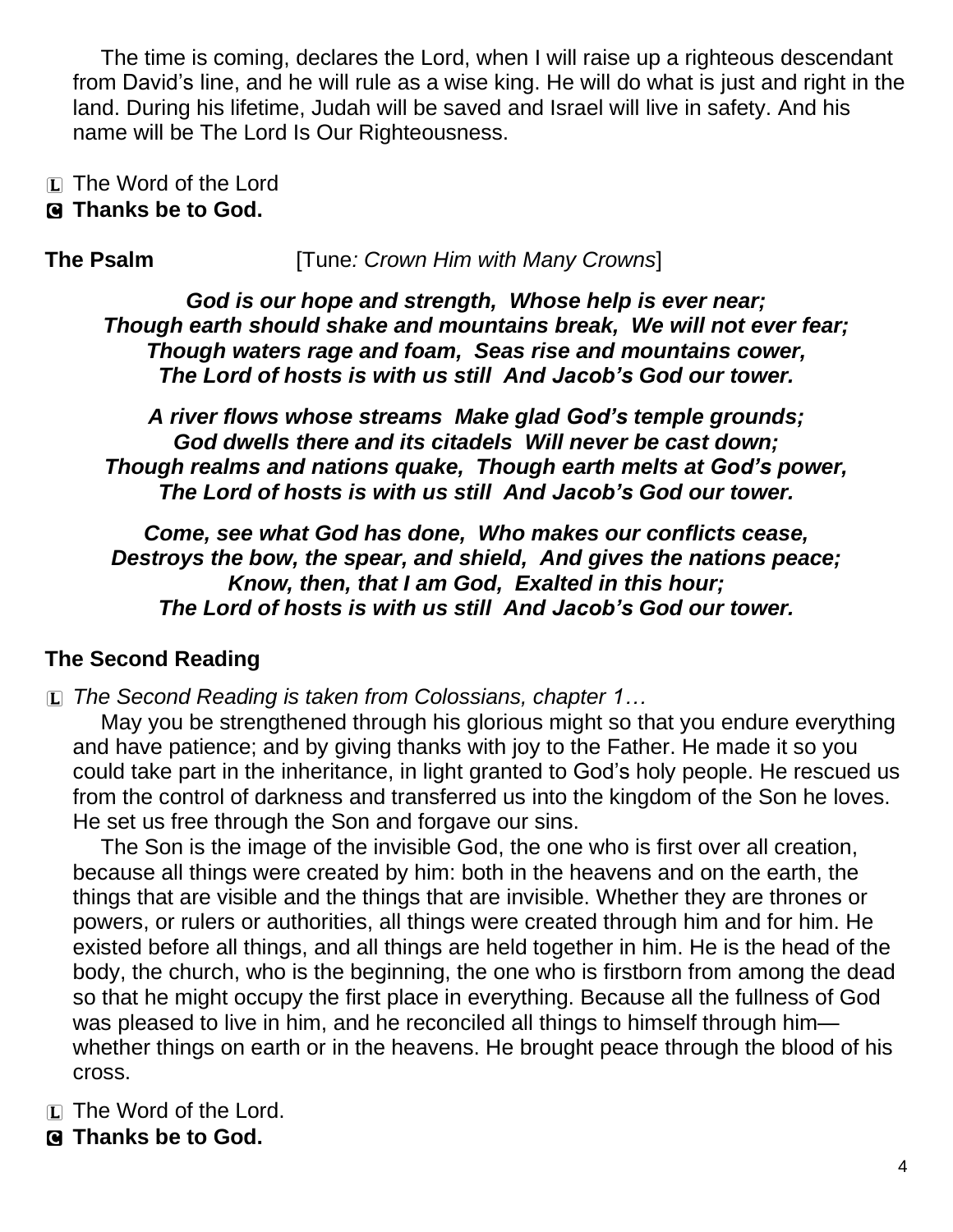The time is coming, declares the Lord, when I will raise up a righteous descendant from David's line, and he will rule as a wise king. He will do what is just and right in the land. During his lifetime, Judah will be saved and Israel will live in safety. And his name will be The Lord Is Our Righteousness.

- L The Word of the Lord
- C **Thanks be to God.**

**The Psalm** [Tune*: Crown Him with Many Crowns*]

*God is our hope and strength, Whose help is ever near; Though earth should shake and mountains break, We will not ever fear; Though waters rage and foam, Seas rise and mountains cower, The Lord of hosts is with us still And Jacob's God our tower.*

*A river flows whose streams Make glad God's temple grounds; God dwells there and its citadels Will never be cast down; Though realms and nations quake, Though earth melts at God's power, The Lord of hosts is with us still And Jacob's God our tower.*

*Come, see what God has done, Who makes our conflicts cease, Destroys the bow, the spear, and shield, And gives the nations peace; Know, then, that I am God, Exalted in this hour; The Lord of hosts is with us still And Jacob's God our tower.*

## **The Second Reading**

L *The Second Reading is taken from Colossians, chapter 1…*

May you be strengthened through his glorious might so that you endure everything and have patience; and by giving thanks with joy to the Father. He made it so you could take part in the inheritance, in light granted to God's holy people. He rescued us from the control of darkness and transferred us into the kingdom of the Son he loves. He set us free through the Son and forgave our sins.

The Son is the image of the invisible God, the one who is first over all creation, because all things were created by him: both in the heavens and on the earth, the things that are visible and the things that are invisible. Whether they are thrones or powers, or rulers or authorities, all things were created through him and for him. He existed before all things, and all things are held together in him. He is the head of the body, the church, who is the beginning, the one who is firstborn from among the dead so that he might occupy the first place in everything. Because all the fullness of God was pleased to live in him, and he reconciled all things to himself through himwhether things on earth or in the heavens. He brought peace through the blood of his cross.

- L The Word of the Lord.
- C **Thanks be to God.**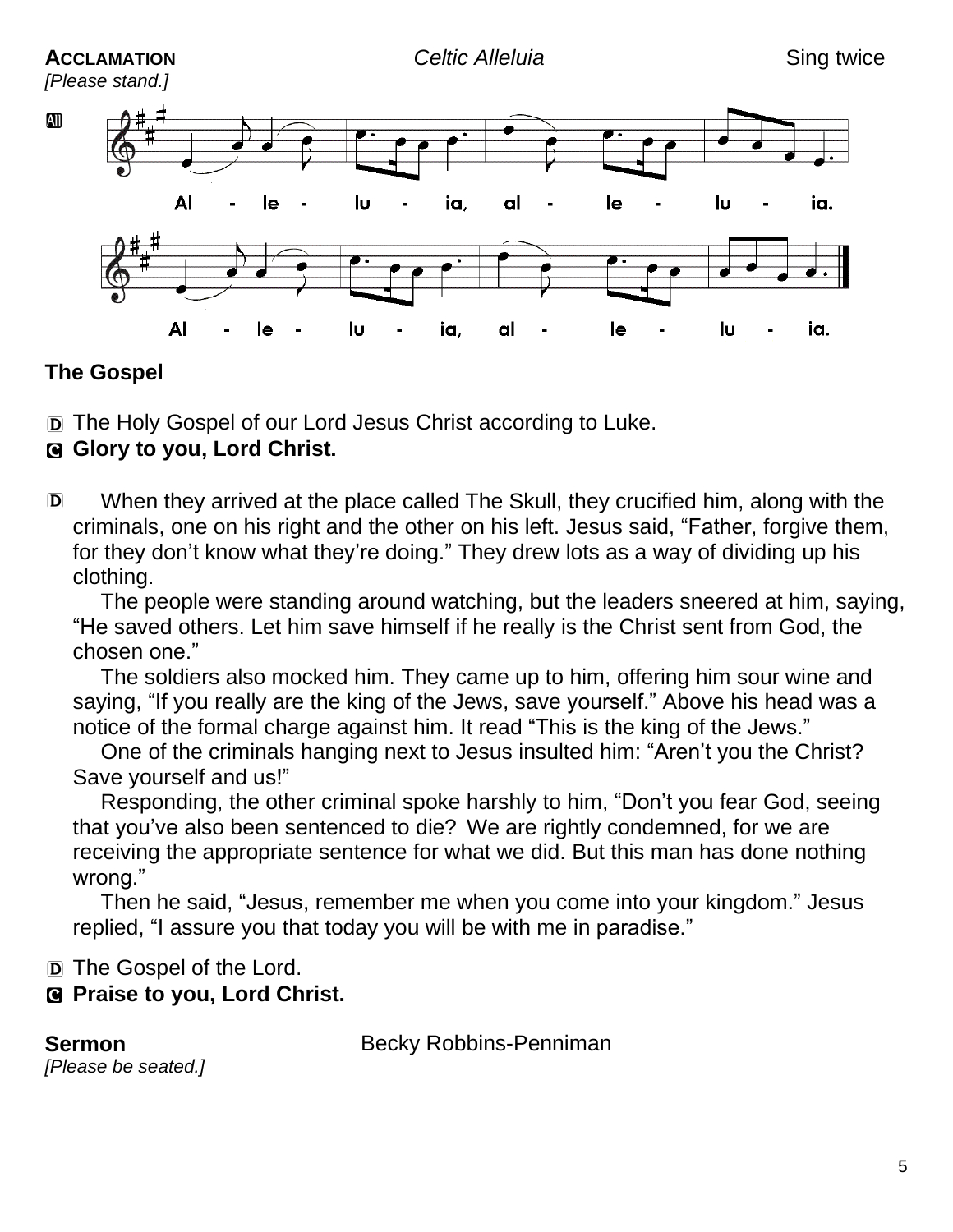### **ACCLAMATION** *Celtic Alleluia* Sing twice

*[Please stand.]*



## **The Gospel**

D The Holy Gospel of our Lord Jesus Christ according to Luke.

## C **Glory to you, Lord Christ.**

D When they arrived at the place called The Skull, they crucified him, along with the criminals, one on his right and the other on his left. Jesus said, "Father, forgive them, for they don't know what they're doing." They drew lots as a way of dividing up his clothing.

The people were standing around watching, but the leaders sneered at him, saying, "He saved others. Let him save himself if he really is the Christ sent from God, the chosen one."

The soldiers also mocked him. They came up to him, offering him sour wine and saying, "If you really are the king of the Jews, save yourself." Above his head was a notice of the formal charge against him. It read "This is the king of the Jews."

One of the criminals hanging next to Jesus insulted him: "Aren't you the Christ? Save yourself and us!"

Responding, the other criminal spoke harshly to him, "Don't you fear God, seeing that you've also been sentenced to die? We are rightly condemned, for we are receiving the appropriate sentence for what we did. But this man has done nothing wrong."

Then he said, "Jesus, remember me when you come into your kingdom." Jesus replied, "I assure you that today you will be with me in paradise."

D The Gospel of the Lord.

## C **Praise to you, Lord Christ.**

**Sermon** Becky Robbins-Penniman

*[Please be seated.]*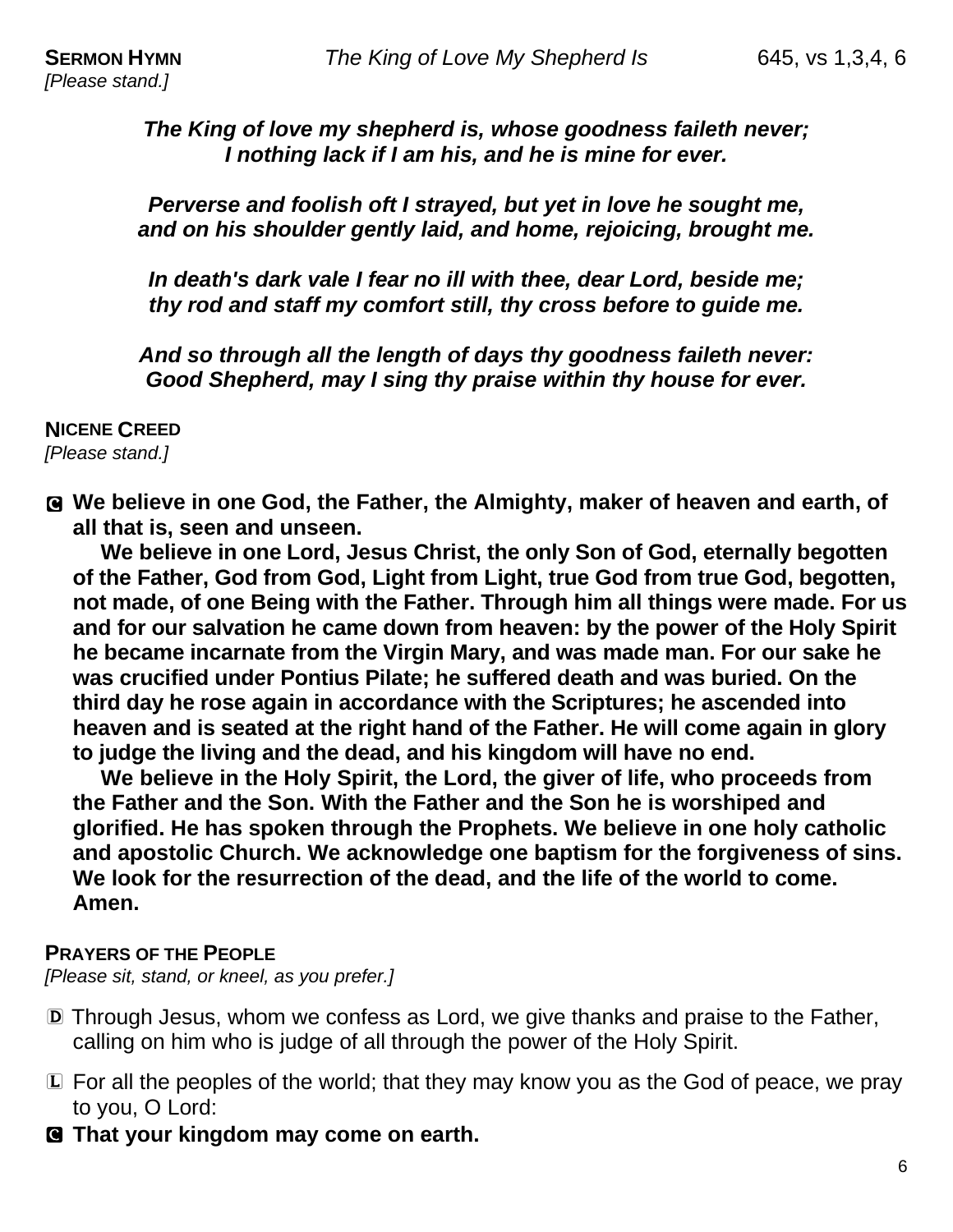*The King of love my shepherd is, whose goodness faileth never; I nothing lack if I am his, and he is mine for ever.*

*Perverse and foolish oft I strayed, but yet in love he sought me, and on his shoulder gently laid, and home, rejoicing, brought me.*

*In death's dark vale I fear no ill with thee, dear Lord, beside me; thy rod and staff my comfort still, thy cross before to guide me.*

*And so through all the length of days thy goodness faileth never: Good Shepherd, may I sing thy praise within thy house for ever.*

#### **NICENE CREED**

*[Please stand.]*

C **We believe in one God, the Father, the Almighty, maker of heaven and earth, of all that is, seen and unseen.**

**We believe in one Lord, Jesus Christ, the only Son of God, eternally begotten of the Father, God from God, Light from Light, true God from true God, begotten, not made, of one Being with the Father. Through him all things were made. For us and for our salvation he came down from heaven: by the power of the Holy Spirit he became incarnate from the Virgin Mary, and was made man. For our sake he was crucified under Pontius Pilate; he suffered death and was buried. On the third day he rose again in accordance with the Scriptures; he ascended into heaven and is seated at the right hand of the Father. He will come again in glory to judge the living and the dead, and his kingdom will have no end.**

**We believe in the Holy Spirit, the Lord, the giver of life, who proceeds from the Father and the Son. With the Father and the Son he is worshiped and glorified. He has spoken through the Prophets. We believe in one holy catholic and apostolic Church. We acknowledge one baptism for the forgiveness of sins. We look for the resurrection of the dead, and the life of the world to come. Amen.**

#### **PRAYERS OF THE PEOPLE**

*[Please sit, stand, or kneel, as you prefer.]*

- D Through Jesus, whom we confess as Lord, we give thanks and praise to the Father, calling on him who is judge of all through the power of the Holy Spirit.
- L For all the peoples of the world; that they may know you as the God of peace, we pray to you, O Lord:
- C **That your kingdom may come on earth.**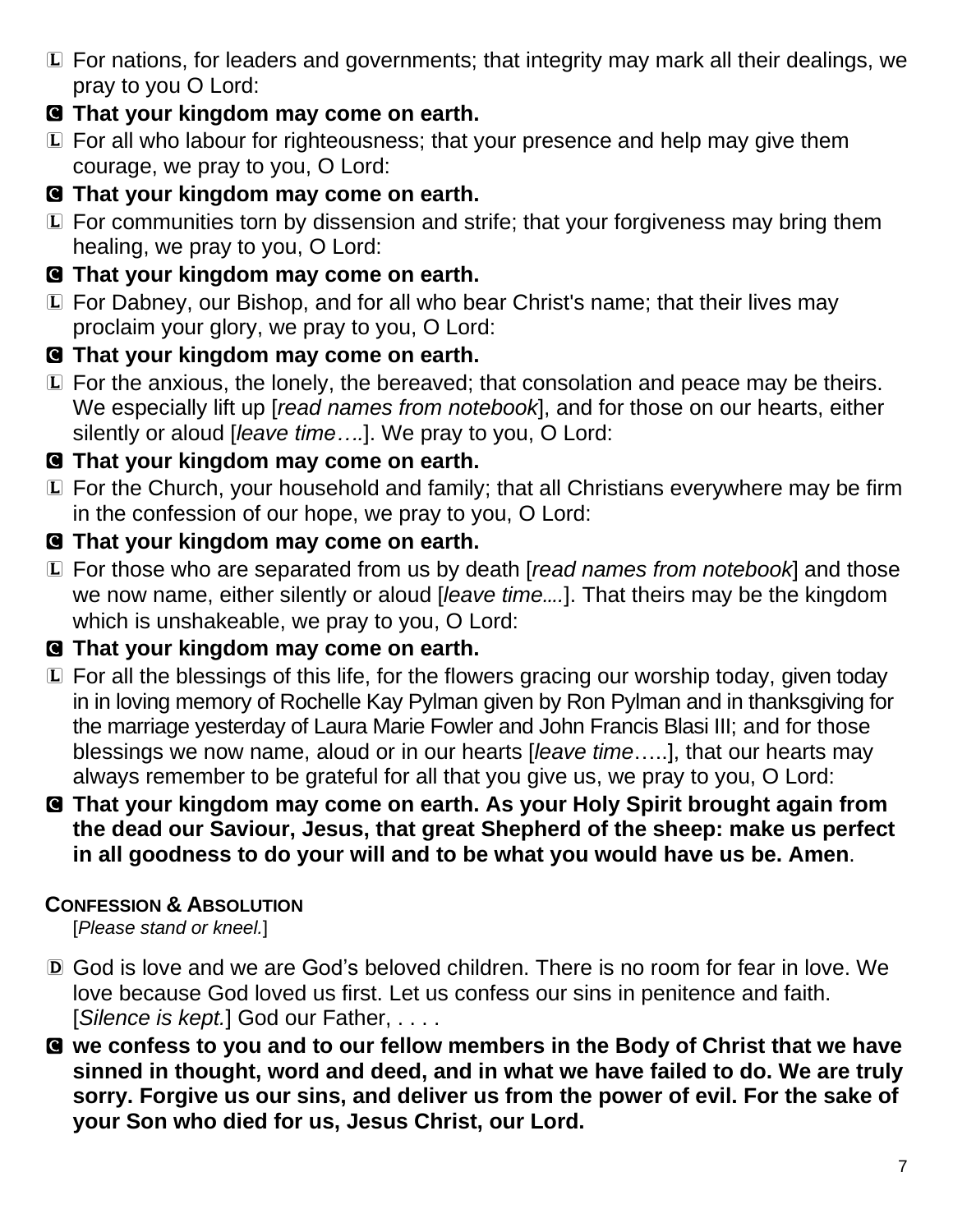- L For nations, for leaders and governments; that integrity may mark all their dealings, we pray to you O Lord:
- C **That your kingdom may come on earth.**
- L For all who labour for righteousness; that your presence and help may give them courage, we pray to you, O Lord:
- C **That your kingdom may come on earth.**
- L For communities torn by dissension and strife; that your forgiveness may bring them healing, we pray to you, O Lord:
- C **That your kingdom may come on earth.**
- L For Dabney, our Bishop, and for all who bear Christ's name; that their lives may proclaim your glory, we pray to you, O Lord:
- C **That your kingdom may come on earth.**
- L For the anxious, the lonely, the bereaved; that consolation and peace may be theirs. We especially lift up [*read names from notebook*], and for those on our hearts, either silently or aloud [*leave time….*]. We pray to you, O Lord:
- C **That your kingdom may come on earth.**
- L For the Church, your household and family; that all Christians everywhere may be firm in the confession of our hope, we pray to you, O Lord:
- C **That your kingdom may come on earth.**
- L For those who are separated from us by death [*read names from notebook*] and those we now name, either silently or aloud [*leave time….*]. That theirs may be the kingdom which is unshakeable, we pray to you, O Lord:
- C **That your kingdom may come on earth.**
- L For all the blessings of this life, for the flowers gracing our worship today, given today in in loving memory of Rochelle Kay Pylman given by Ron Pylman and in thanksgiving for the marriage yesterday of Laura Marie Fowler and John Francis Blasi III; and for those blessings we now name, aloud or in our hearts [*leave time*…..], that our hearts may always remember to be grateful for all that you give us, we pray to you, O Lord:
- C **That your kingdom may come on earth. As your Holy Spirit brought again from the dead our Saviour, Jesus, that great Shepherd of the sheep: make us perfect in all goodness to do your will and to be what you would have us be. Amen**.

## **CONFESSION & ABSOLUTION**

[*Please stand or kneel.*]

- D God is love and we are God's beloved children. There is no room for fear in love. We love because God loved us first. Let us confess our sins in penitence and faith. [*Silence is kept.*] God our Father, . . . .
- C **we confess to you and to our fellow members in the Body of Christ that we have sinned in thought, word and deed, and in what we have failed to do. We are truly sorry. Forgive us our sins, and deliver us from the power of evil. For the sake of your Son who died for us, Jesus Christ, our Lord.**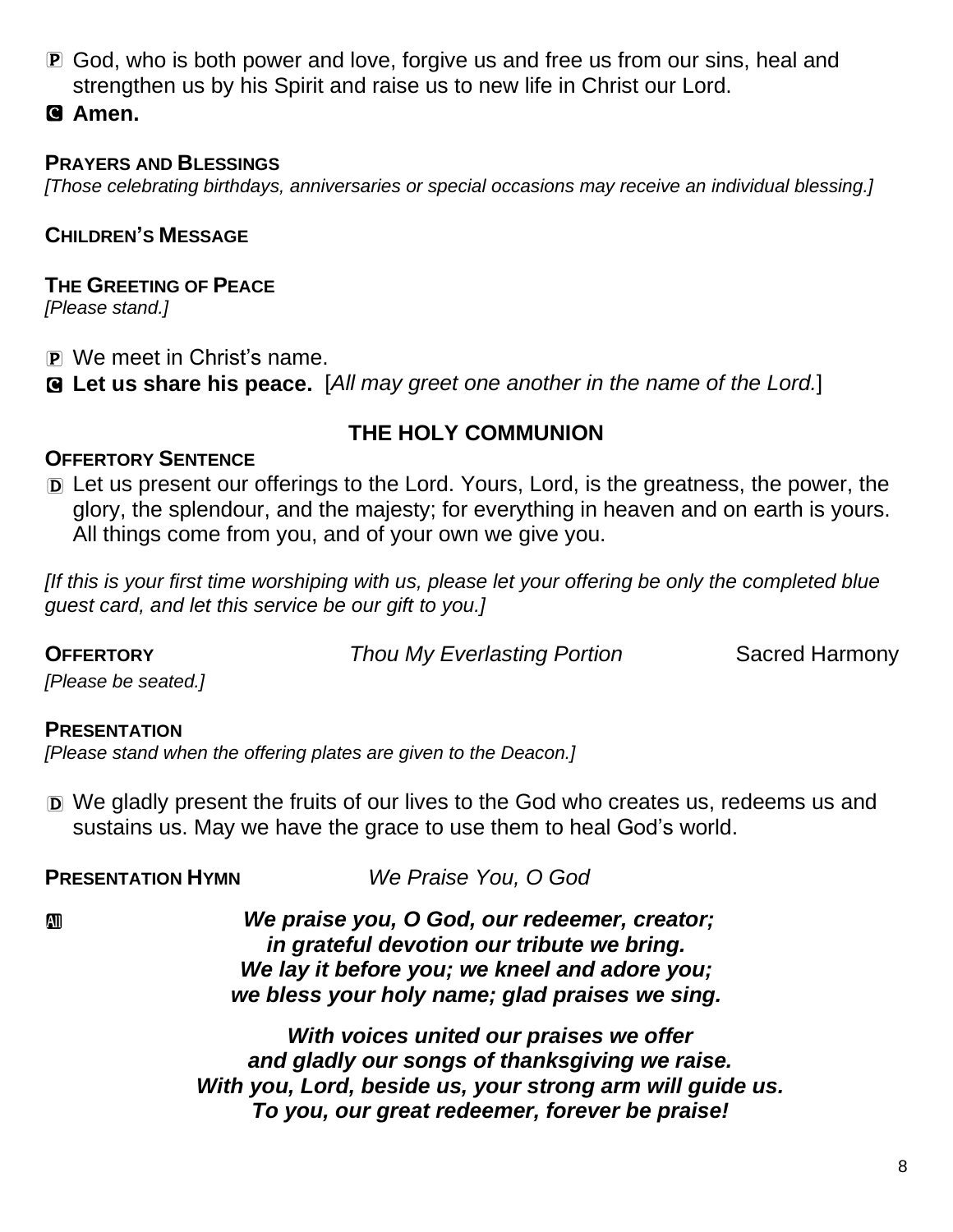- P God, who is both power and love, forgive us and free us from our sins, heal and strengthen us by his Spirit and raise us to new life in Christ our Lord.
- C **Amen.**

## **PRAYERS AND BLESSINGS**

*[Those celebrating birthdays, anniversaries or special occasions may receive an individual blessing.]*

## **CHILDREN'S MESSAGE**

#### **THE GREETING OF PEACE** *[Please stand.]*

- P We meet in Christ's name.
- C **Let us share his peace.** [*All may greet one another in the name of the Lord.*]

## **THE HOLY COMMUNION**

## **OFFERTORY SENTENCE**

D Let us present our offerings to the Lord. Yours, Lord, is the greatness, the power, the glory, the splendour, and the majesty; for everything in heaven and on earth is yours. All things come from you, and of your own we give you.

*[If this is your first time worshiping with us, please let your offering be only the completed blue guest card, and let this service be our gift to you.]*

**OFFERTORY** *Thou My Everlasting Portion* Sacred Harmony

*[Please be seated.]*

## **PRESENTATION**

*[Please stand when the offering plates are given to the Deacon.]*

D We gladly present the fruits of our lives to the God who creates us, redeems us and sustains us. May we have the grace to use them to heal God's world.

**PRESENTATION HYMN** *We Praise You, O God*

a *We praise you, O God, our redeemer, creator; in grateful devotion our tribute we bring. We lay it before you; we kneel and adore you; we bless your holy name; glad praises we sing.*

> *With voices united our praises we offer and gladly our songs of thanksgiving we raise. With you, Lord, beside us, your strong arm will guide us. To you, our great redeemer, forever be praise!*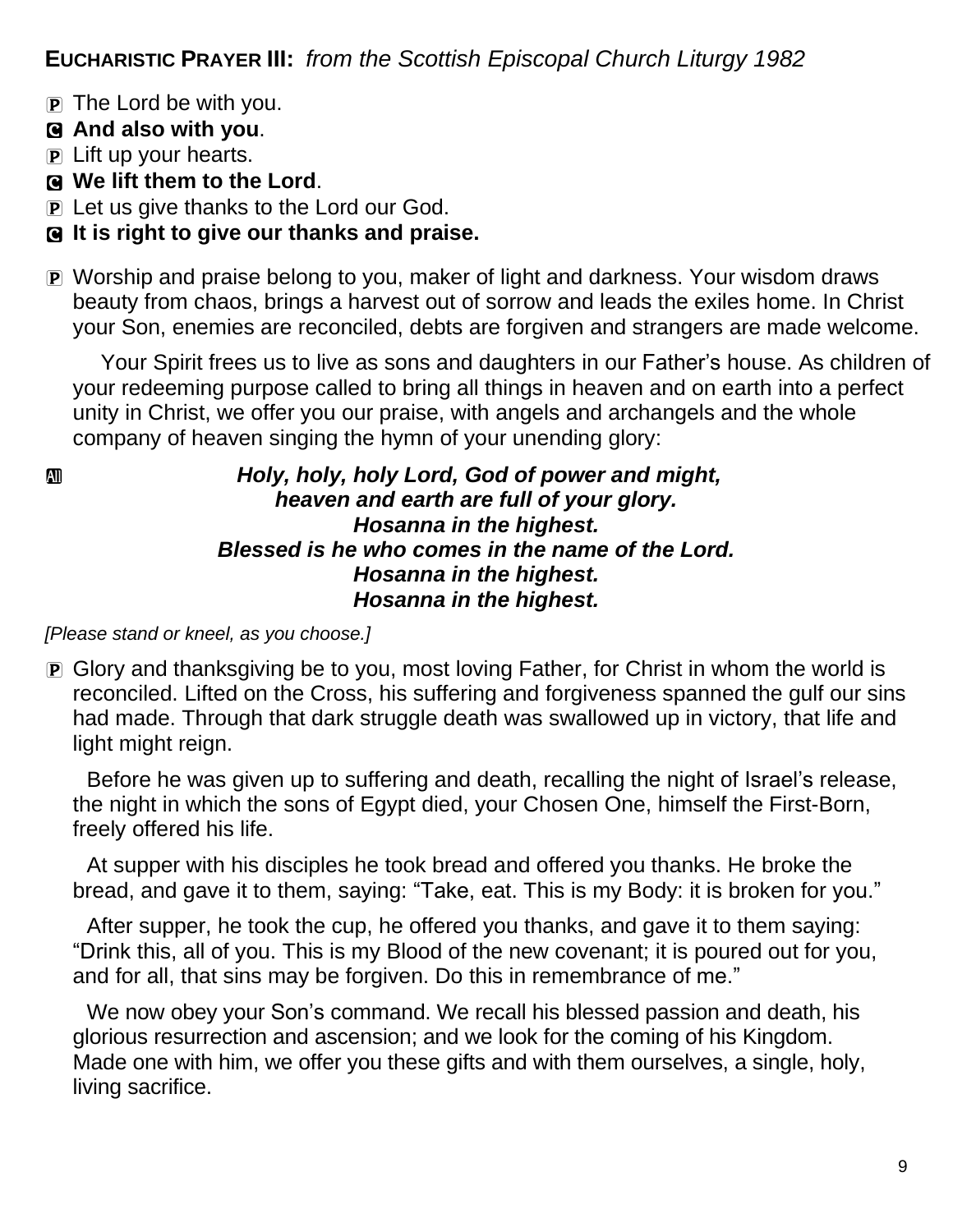**EUCHARISTIC PRAYER III:** *from the Scottish Episcopal Church Liturgy 1982*

P The Lord be with you.

## C **And also with you**.

- P Lift up your hearts.
- C **We lift them to the Lord**.
- P Let us give thanks to the Lord our God.

## C **It is right to give our thanks and praise.**

P Worship and praise belong to you, maker of light and darkness. Your wisdom draws beauty from chaos, brings a harvest out of sorrow and leads the exiles home. In Christ your Son, enemies are reconciled, debts are forgiven and strangers are made welcome.

Your Spirit frees us to live as sons and daughters in our Father's house. As children of your redeeming purpose called to bring all things in heaven and on earth into a perfect unity in Christ, we offer you our praise, with angels and archangels and the whole company of heaven singing the hymn of your unending glory:

### a *Holy, holy, holy Lord, God of power and might, heaven and earth are full of your glory. Hosanna in the highest. Blessed is he who comes in the name of the Lord. Hosanna in the highest. Hosanna in the highest.*

#### *[Please stand or kneel, as you choose.]*

P Glory and thanksgiving be to you, most loving Father, for Christ in whom the world is reconciled. Lifted on the Cross, his suffering and forgiveness spanned the gulf our sins had made. Through that dark struggle death was swallowed up in victory, that life and light might reign.

Before he was given up to suffering and death, recalling the night of Israel's release, the night in which the sons of Egypt died, your Chosen One, himself the First-Born, freely offered his life.

At supper with his disciples he took bread and offered you thanks. He broke the bread, and gave it to them, saying: "Take, eat. This is my Body: it is broken for you."

After supper, he took the cup, he offered you thanks, and gave it to them saying: "Drink this, all of you. This is my Blood of the new covenant; it is poured out for you, and for all, that sins may be forgiven. Do this in remembrance of me."

We now obey your Son's command. We recall his blessed passion and death, his glorious resurrection and ascension; and we look for the coming of his Kingdom. Made one with him, we offer you these gifts and with them ourselves, a single, holy, living sacrifice.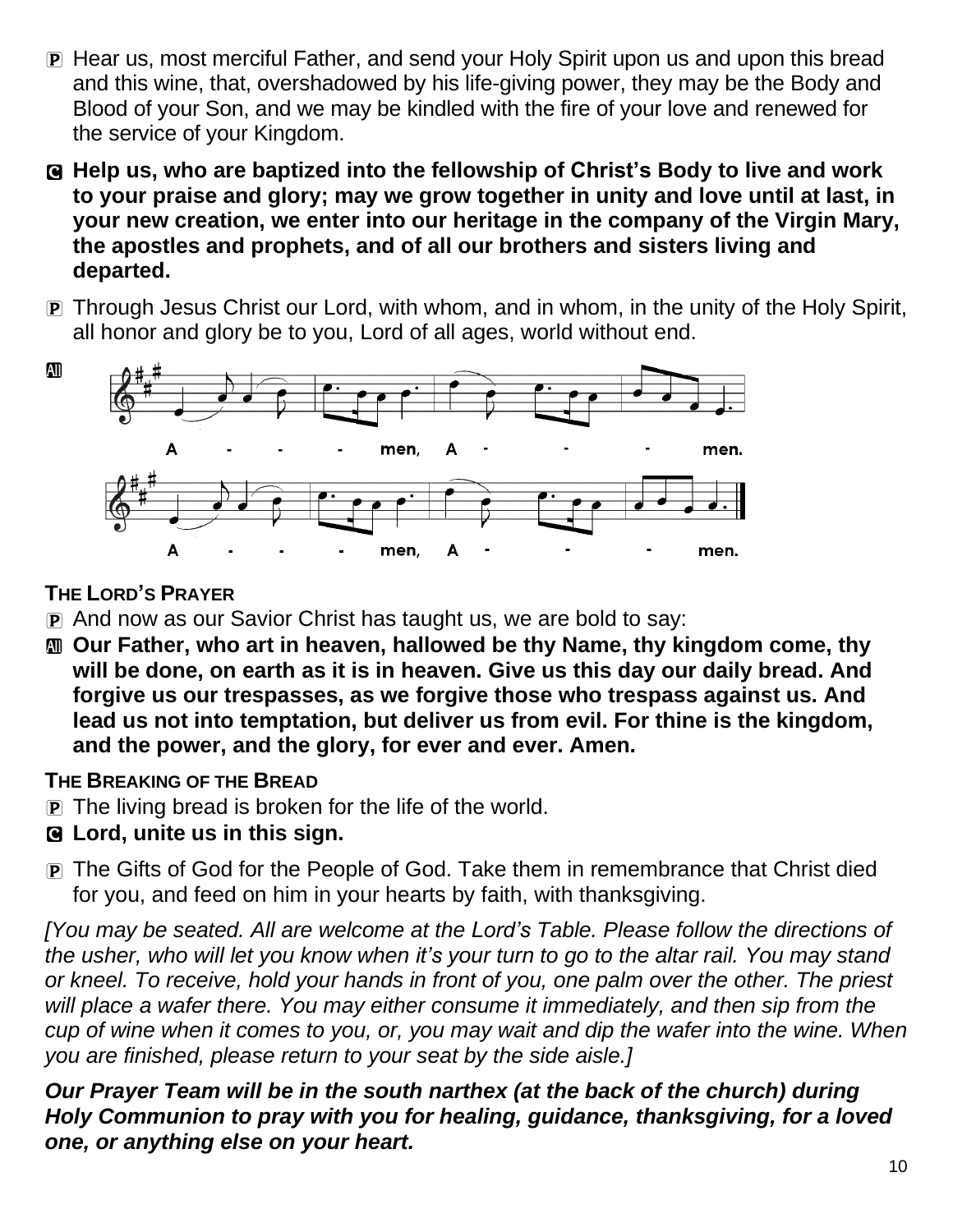- P Hear us, most merciful Father, and send your Holy Spirit upon us and upon this bread and this wine, that, overshadowed by his life-giving power, they may be the Body and Blood of your Son, and we may be kindled with the fire of your love and renewed for the service of your Kingdom.
- C **Help us, who are baptized into the fellowship of Christ's Body to live and work to your praise and glory; may we grow together in unity and love until at last, in your new creation, we enter into our heritage in the company of the Virgin Mary, the apostles and prophets, and of all our brothers and sisters living and departed.**
- P Through Jesus Christ our Lord, with whom, and in whom, in the unity of the Holy Spirit, all honor and glory be to you, Lord of all ages, world without end.



**THE LORD'S PRAYER**

- P And now as our Savior Christ has taught us, we are bold to say:
- a **Our Father, who art in heaven, hallowed be thy Name, thy kingdom come, thy will be done, on earth as it is in heaven. Give us this day our daily bread. And forgive us our trespasses, as we forgive those who trespass against us. And lead us not into temptation, but deliver us from evil. For thine is the kingdom, and the power, and the glory, for ever and ever. Amen.**

## **THE BREAKING OF THE BREAD**

- P The living bread is broken for the life of the world.
- C **Lord, unite us in this sign.**
- P The Gifts of God for the People of God. Take them in remembrance that Christ died for you, and feed on him in your hearts by faith, with thanksgiving.

*[You may be seated. All are welcome at the Lord's Table. Please follow the directions of* the usher, who will let you know when it's your turn to go to the altar rail. You may stand *or kneel. To receive, hold your hands in front of you, one palm over the other. The priest will place a wafer there. You may either consume it immediately, and then sip from the* cup of wine when it comes to you, or, you may wait and dip the wafer into the wine. When *you are finished, please return to your seat by the side aisle.]*

*Our Prayer Team will be in the south narthex (at the back of the church) during Holy Communion to pray with you for healing, guidance, thanksgiving, for a loved one, or anything else on your heart.*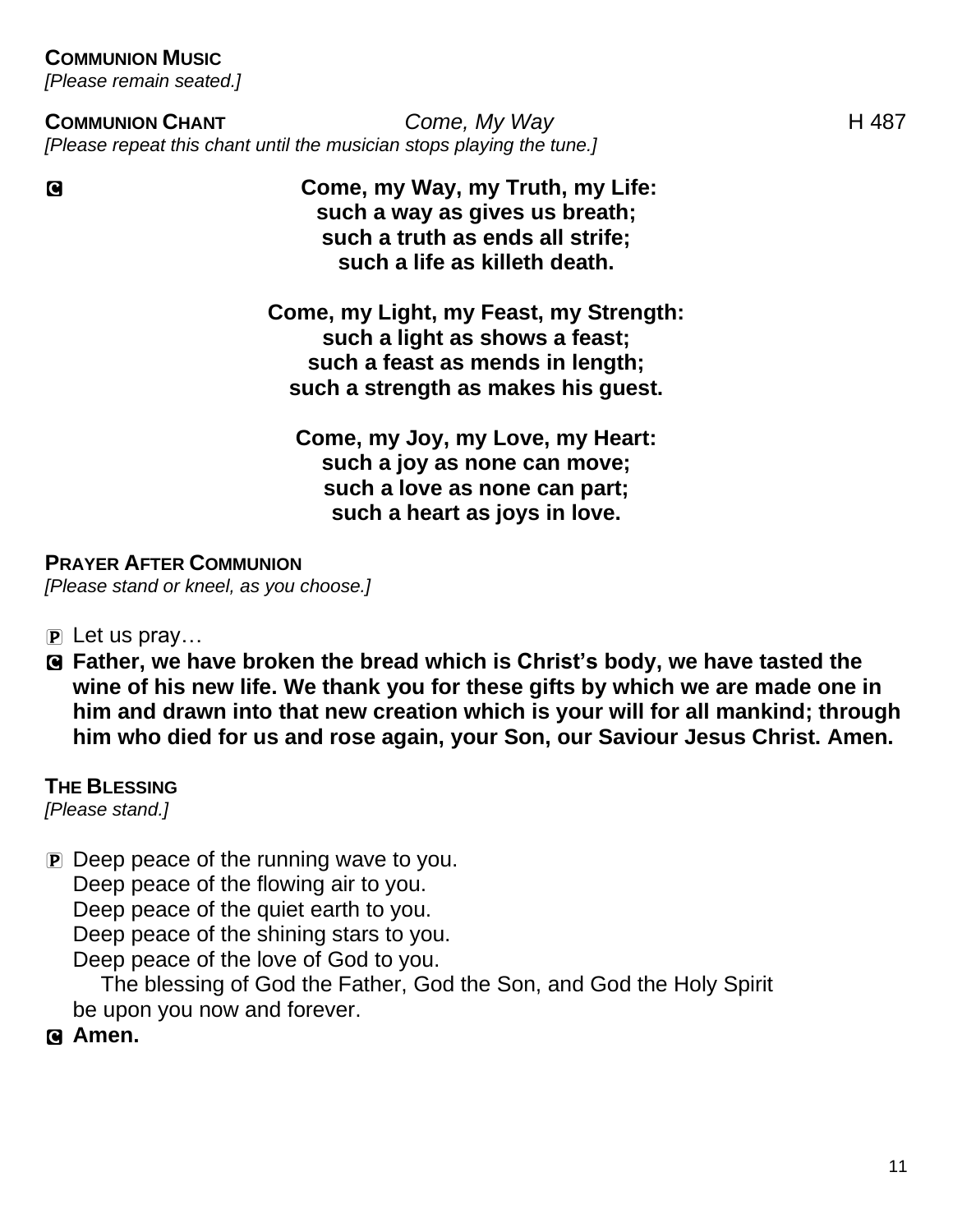### **COMMUNION MUSIC**

*[Please remain seated.]*

#### **COMMUNION CHANT** *Come, My Way* H 487 *[Please repeat this chant until the musician stops playing the tune.]*

C **Come, my Way, my Truth, my Life: such a way as gives us breath; such a truth as ends all strife; such a life as killeth death.**

> **Come, my Light, my Feast, my Strength: such a light as shows a feast; such a feast as mends in length; such a strength as makes his guest.**

**Come, my Joy, my Love, my Heart: such a joy as none can move; such a love as none can part; such a heart as joys in love.**

#### **PRAYER AFTER COMMUNION**

*[Please stand or kneel, as you choose.]*

- $\overline{P}$  Let us pray...
- C **Father, we have broken the bread which is Christ's body, we have tasted the wine of his new life. We thank you for these gifts by which we are made one in him and drawn into that new creation which is your will for all mankind; through him who died for us and rose again, your Son, our Saviour Jesus Christ. Amen.**

#### **THE BLESSING**

*[Please stand.]*

P Deep peace of the running wave to you.

Deep peace of the flowing air to you.

Deep peace of the quiet earth to you.

Deep peace of the shining stars to you.

Deep peace of the love of God to you.

The blessing of God the Father, God the Son, and God the Holy Spirit be upon you now and forever.

C **Amen.**